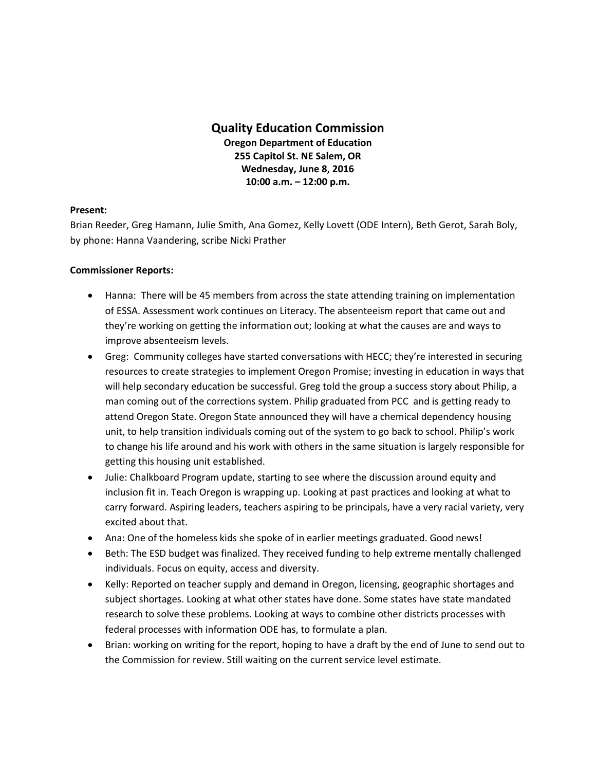## **Quality Education Commission Oregon Department of Education 255 Capitol St. NE Salem, OR Wednesday, June 8, 2016 10:00 a.m. – 12:00 p.m.**

## **Present:**

Brian Reeder, Greg Hamann, Julie Smith, Ana Gomez, Kelly Lovett (ODE Intern), Beth Gerot, Sarah Boly, by phone: Hanna Vaandering, scribe Nicki Prather

## **Commissioner Reports:**

- Hanna: There will be 45 members from across the state attending training on implementation of ESSA. Assessment work continues on Literacy. The absenteeism report that came out and they're working on getting the information out; looking at what the causes are and ways to improve absenteeism levels.
- Greg: Community colleges have started conversations with HECC; they're interested in securing resources to create strategies to implement Oregon Promise; investing in education in ways that will help secondary education be successful. Greg told the group a success story about Philip, a man coming out of the corrections system. Philip graduated from PCC and is getting ready to attend Oregon State. Oregon State announced they will have a chemical dependency housing unit, to help transition individuals coming out of the system to go back to school. Philip's work to change his life around and his work with others in the same situation is largely responsible for getting this housing unit established.
- Julie: Chalkboard Program update, starting to see where the discussion around equity and inclusion fit in. Teach Oregon is wrapping up. Looking at past practices and looking at what to carry forward. Aspiring leaders, teachers aspiring to be principals, have a very racial variety, very excited about that.
- Ana: One of the homeless kids she spoke of in earlier meetings graduated. Good news!
- Beth: The ESD budget was finalized. They received funding to help extreme mentally challenged individuals. Focus on equity, access and diversity.
- Kelly: Reported on teacher supply and demand in Oregon, licensing, geographic shortages and subject shortages. Looking at what other states have done. Some states have state mandated research to solve these problems. Looking at ways to combine other districts processes with federal processes with information ODE has, to formulate a plan.
- Brian: working on writing for the report, hoping to have a draft by the end of June to send out to the Commission for review. Still waiting on the current service level estimate.